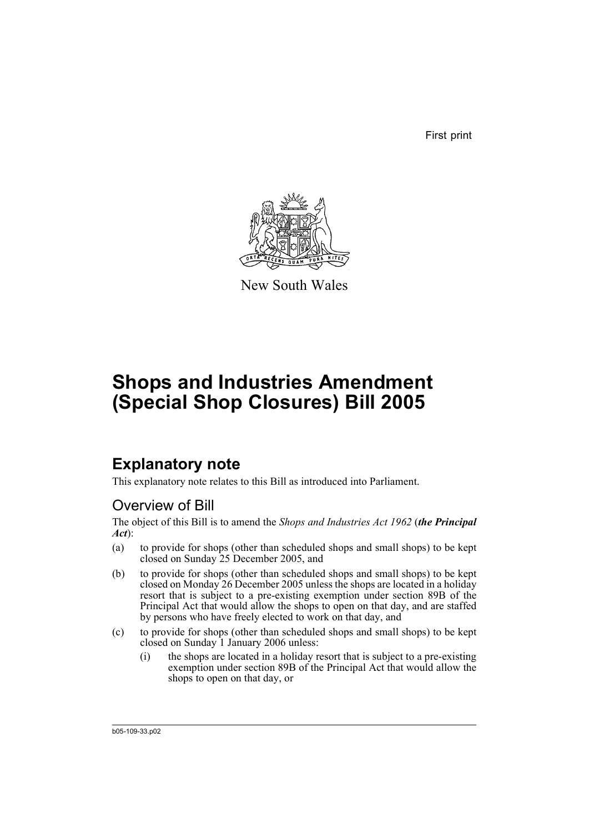First print



New South Wales

# **Shops and Industries Amendment (Special Shop Closures) Bill 2005**

### **Explanatory note**

This explanatory note relates to this Bill as introduced into Parliament.

### Overview of Bill

The object of this Bill is to amend the *Shops and Industries Act 1962* (*the Principal Act*):

- (a) to provide for shops (other than scheduled shops and small shops) to be kept closed on Sunday 25 December 2005, and
- (b) to provide for shops (other than scheduled shops and small shops) to be kept closed on Monday 26 December 2005 unless the shops are located in a holiday resort that is subject to a pre-existing exemption under section 89B of the Principal Act that would allow the shops to open on that day, and are staffed by persons who have freely elected to work on that day, and
- (c) to provide for shops (other than scheduled shops and small shops) to be kept closed on Sunday 1 January 2006 unless:
	- (i) the shops are located in a holiday resort that is subject to a pre-existing exemption under section 89B of the Principal Act that would allow the shops to open on that day, or

b05-109-33.p02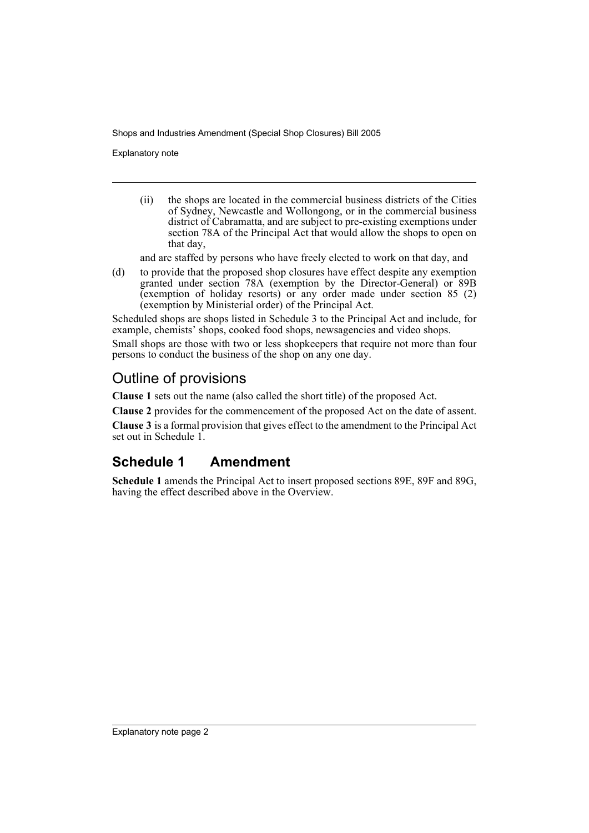Explanatory note

(ii) the shops are located in the commercial business districts of the Cities of Sydney, Newcastle and Wollongong, or in the commercial business district of Cabramatta, and are subject to pre-existing exemptions under section 78A of the Principal Act that would allow the shops to open on that day,

and are staffed by persons who have freely elected to work on that day, and

(d) to provide that the proposed shop closures have effect despite any exemption granted under section 78A (exemption by the Director-General) or 89B (exemption of holiday resorts) or any order made under section 85 (2) (exemption by Ministerial order) of the Principal Act.

Scheduled shops are shops listed in Schedule 3 to the Principal Act and include, for example, chemists' shops, cooked food shops, newsagencies and video shops.

Small shops are those with two or less shopkeepers that require not more than four persons to conduct the business of the shop on any one day.

### Outline of provisions

**Clause 1** sets out the name (also called the short title) of the proposed Act.

**Clause 2** provides for the commencement of the proposed Act on the date of assent.

**Clause 3** is a formal provision that gives effect to the amendment to the Principal Act set out in Schedule 1.

### **Schedule 1 Amendment**

**Schedule 1** amends the Principal Act to insert proposed sections 89E, 89F and 89G, having the effect described above in the Overview.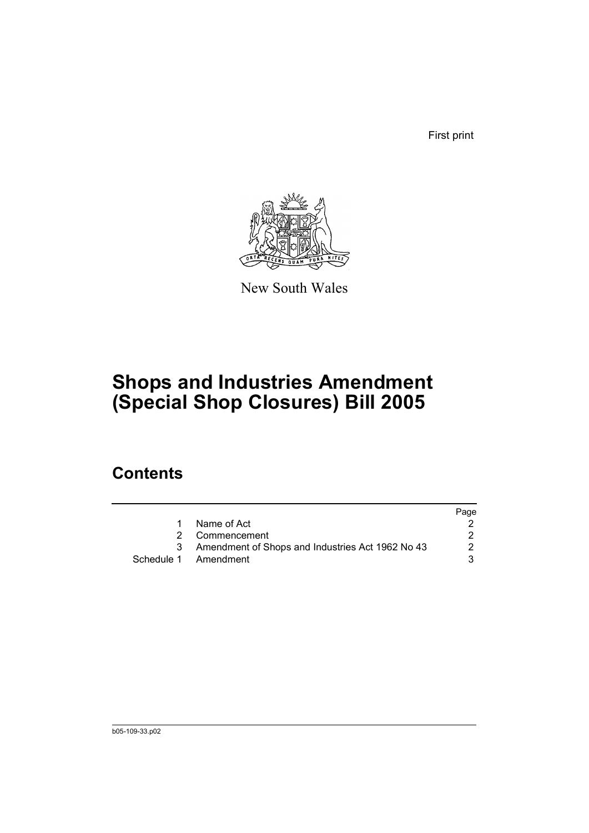First print



New South Wales

## **Shops and Industries Amendment (Special Shop Closures) Bill 2005**

### **Contents**

|                                                    | Page |
|----------------------------------------------------|------|
| Name of Act                                        |      |
| 2 Commencement                                     |      |
| 3 Amendment of Shops and Industries Act 1962 No 43 | 2    |
| Schedule 1 Amendment                               | 3    |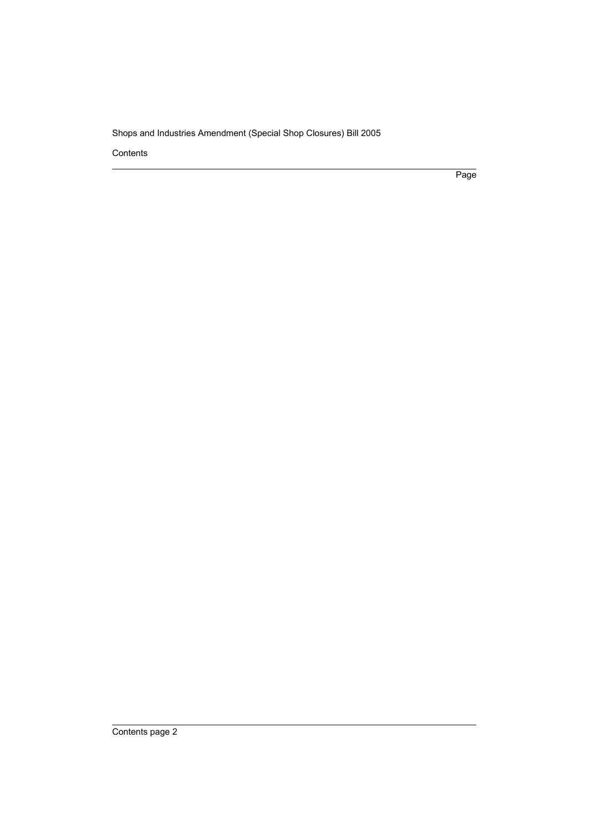Contents

Page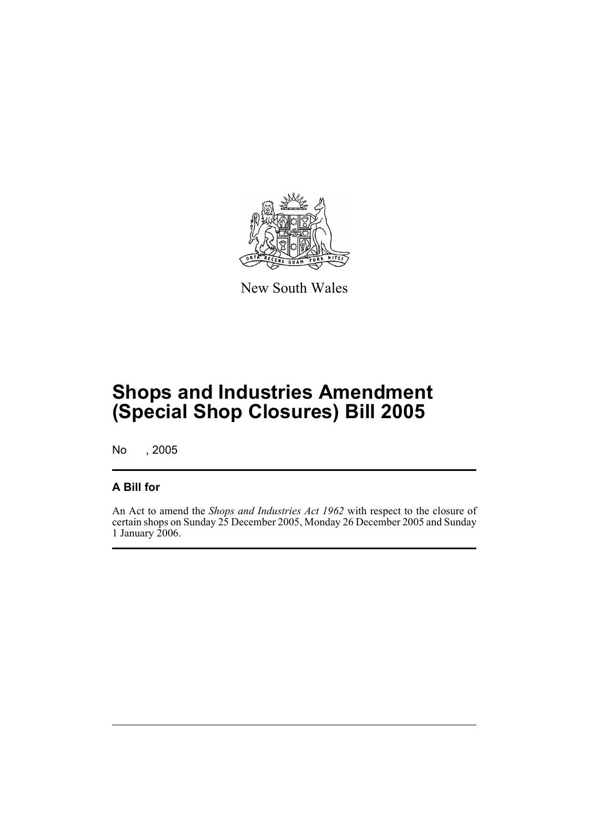

New South Wales

## **Shops and Industries Amendment (Special Shop Closures) Bill 2005**

No , 2005

#### **A Bill for**

An Act to amend the *Shops and Industries Act 1962* with respect to the closure of certain shops on Sunday 25 December 2005, Monday 26 December 2005 and Sunday 1 January 2006.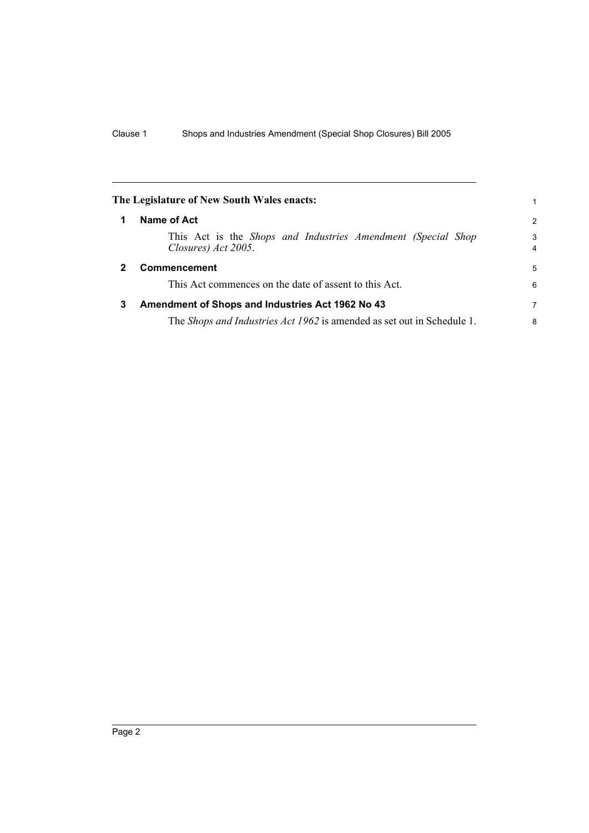|              | The Legislature of New South Wales enacts:                                          |                     |
|--------------|-------------------------------------------------------------------------------------|---------------------|
| 1            | Name of Act                                                                         | 2                   |
|              | This Act is the Shops and Industries Amendment (Special Shop<br>Closures) Act 2005. | 3<br>$\overline{4}$ |
| $\mathbf{2}$ | <b>Commencement</b>                                                                 | 5                   |
|              | This Act commences on the date of assent to this Act.                               | 6                   |
| 3            | Amendment of Shops and Industries Act 1962 No 43                                    | 7                   |
|              | The Shops and Industries Act 1962 is amended as set out in Schedule 1.              | 8                   |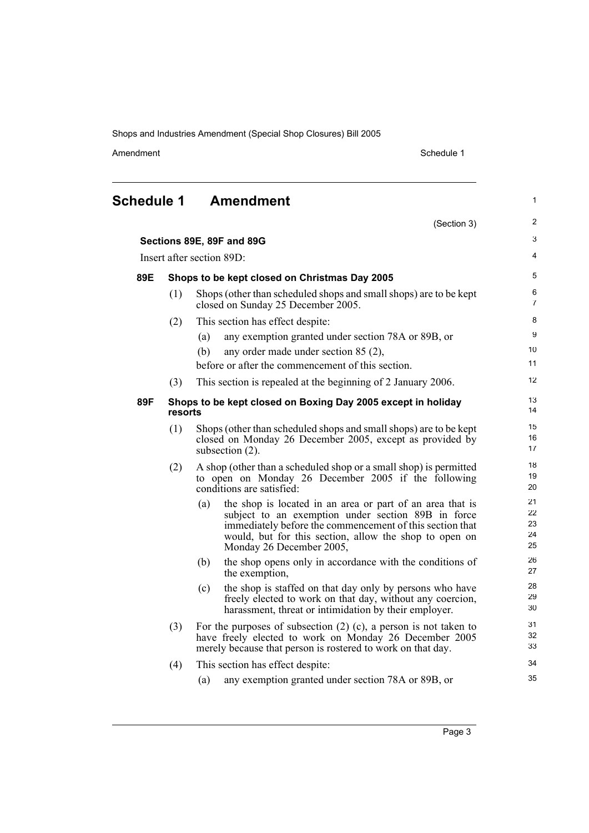Amendment Schedule 1

(Section 3)

1

2

| <b>Amendment</b> |
|------------------|
|                  |

| Sections 89E, 89F and 89G |         | 3                                                                                                                                                                                                                                                                        |                            |
|---------------------------|---------|--------------------------------------------------------------------------------------------------------------------------------------------------------------------------------------------------------------------------------------------------------------------------|----------------------------|
| Insert after section 89D: |         |                                                                                                                                                                                                                                                                          | 4                          |
| 89E                       |         | Shops to be kept closed on Christmas Day 2005                                                                                                                                                                                                                            | 5                          |
|                           | (1)     | Shops (other than scheduled shops and small shops) are to be kept<br>closed on Sunday 25 December 2005.                                                                                                                                                                  | 6<br>$\overline{7}$        |
|                           | (2)     | This section has effect despite:                                                                                                                                                                                                                                         | 8                          |
|                           |         | any exemption granted under section 78A or 89B, or<br>(a)                                                                                                                                                                                                                | 9                          |
|                           |         | (b)<br>any order made under section 85 (2),                                                                                                                                                                                                                              | 10                         |
|                           |         | before or after the commencement of this section.                                                                                                                                                                                                                        | 11                         |
|                           | (3)     | This section is repealed at the beginning of 2 January 2006.                                                                                                                                                                                                             | 12                         |
| 89F                       | resorts | Shops to be kept closed on Boxing Day 2005 except in holiday                                                                                                                                                                                                             | 13<br>14                   |
|                           | (1)     | Shops (other than scheduled shops and small shops) are to be kept<br>closed on Monday 26 December 2005, except as provided by<br>subsection (2).                                                                                                                         | 15<br>16<br>17             |
|                           | (2)     | A shop (other than a scheduled shop or a small shop) is permitted<br>to open on Monday 26 December 2005 if the following<br>conditions are satisfied:                                                                                                                    | 18<br>19<br>20             |
|                           |         | the shop is located in an area or part of an area that is<br>(a)<br>subject to an exemption under section 89B in force<br>immediately before the commencement of this section that<br>would, but for this section, allow the shop to open on<br>Monday 26 December 2005, | 21<br>22<br>23<br>24<br>25 |
|                           |         | (b)<br>the shop opens only in accordance with the conditions of<br>the exemption,                                                                                                                                                                                        | 26<br>27                   |
|                           |         | the shop is staffed on that day only by persons who have<br>(c)<br>freely elected to work on that day, without any coercion,<br>harassment, threat or intimidation by their employer.                                                                                    | 28<br>29<br>30             |
|                           | (3)     | For the purposes of subsection $(2)$ $(c)$ , a person is not taken to<br>have freely elected to work on Monday 26 December 2005<br>merely because that person is rostered to work on that day.                                                                           | 31<br>32<br>33             |
|                           | (4)     | This section has effect despite:                                                                                                                                                                                                                                         | 34                         |
|                           |         | any exemption granted under section 78A or 89B, or<br>(a)                                                                                                                                                                                                                | 35                         |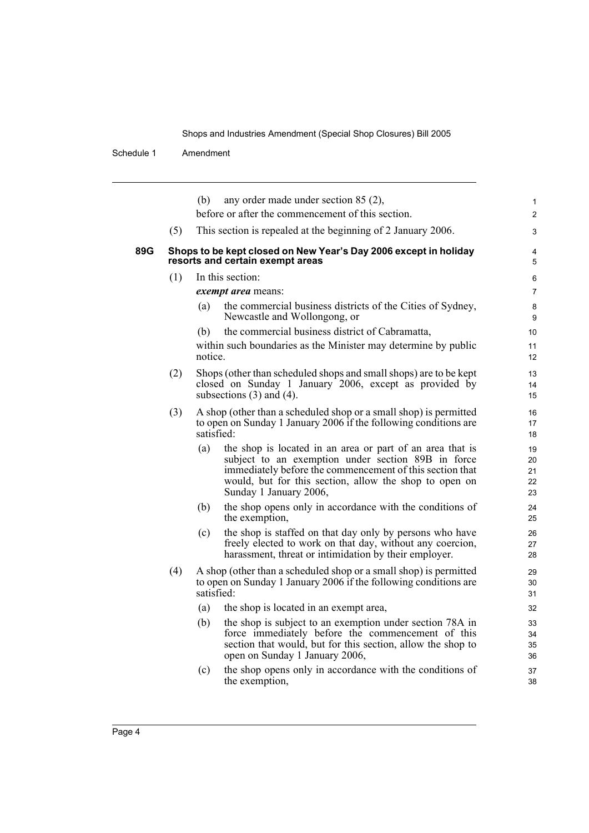Schedule 1 Amendment

|     |     | any order made under section 85 (2),<br>(b)<br>before or after the commencement of this section.                                                                                                                                                                       | $\mathbf{1}$<br>$\overline{2}$ |
|-----|-----|------------------------------------------------------------------------------------------------------------------------------------------------------------------------------------------------------------------------------------------------------------------------|--------------------------------|
|     | (5) | This section is repealed at the beginning of 2 January 2006.                                                                                                                                                                                                           | 3                              |
| 89G |     | Shops to be kept closed on New Year's Day 2006 except in holiday<br>resorts and certain exempt areas                                                                                                                                                                   | 4<br>5                         |
|     | (1) | In this section:                                                                                                                                                                                                                                                       | 6                              |
|     |     | exempt area means:                                                                                                                                                                                                                                                     | $\overline{7}$                 |
|     |     | the commercial business districts of the Cities of Sydney,<br>(a)<br>Newcastle and Wollongong, or                                                                                                                                                                      | 8<br>9                         |
|     |     | the commercial business district of Cabramatta,<br>(b)                                                                                                                                                                                                                 | 10                             |
|     |     | within such boundaries as the Minister may determine by public<br>notice.                                                                                                                                                                                              | 11<br>12                       |
|     | (2) | Shops (other than scheduled shops and small shops) are to be kept<br>closed on Sunday 1 January 2006, except as provided by<br>subsections $(3)$ and $(4)$ .                                                                                                           | 13<br>14<br>15                 |
|     | (3) | A shop (other than a scheduled shop or a small shop) is permitted<br>to open on Sunday 1 January 2006 if the following conditions are<br>satisfied:                                                                                                                    | 16<br>17<br>18                 |
|     |     | (a)<br>the shop is located in an area or part of an area that is<br>subject to an exemption under section 89B in force<br>immediately before the commencement of this section that<br>would, but for this section, allow the shop to open on<br>Sunday 1 January 2006, | 19<br>20<br>21<br>22<br>23     |
|     |     | the shop opens only in accordance with the conditions of<br>(b)<br>the exemption,                                                                                                                                                                                      | 24<br>25                       |
|     |     | the shop is staffed on that day only by persons who have<br>(c)<br>freely elected to work on that day, without any coercion,<br>harassment, threat or intimidation by their employer.                                                                                  | 26<br>27<br>28                 |
|     | (4) | A shop (other than a scheduled shop or a small shop) is permitted<br>to open on Sunday 1 January 2006 if the following conditions are<br>satisfied:                                                                                                                    | 29<br>30<br>31                 |
|     |     | the shop is located in an exempt area,<br>(a)                                                                                                                                                                                                                          | 32                             |
|     |     | (b)<br>the shop is subject to an exemption under section 78A in<br>force immediately before the commencement of this<br>section that would, but for this section, allow the shop to<br>open on Sunday 1 January 2006,                                                  | 33<br>34<br>35<br>36           |
|     |     | the shop opens only in accordance with the conditions of<br>(c)<br>the exemption,                                                                                                                                                                                      | 37<br>38                       |